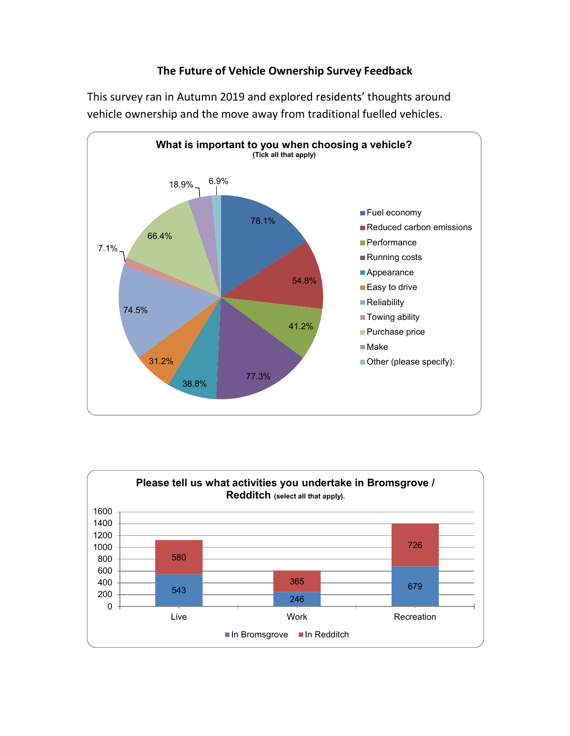## The Future of Vehicle Ownership Survey Feedback

This survey ran in Autumn 2019 and explored residents' thoughts around vehicle ownership and the move away from traditional fuelled vehicles.



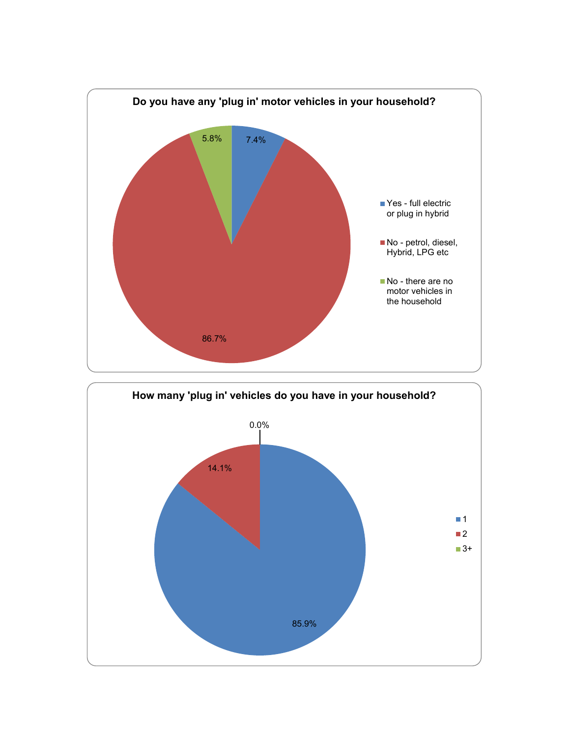

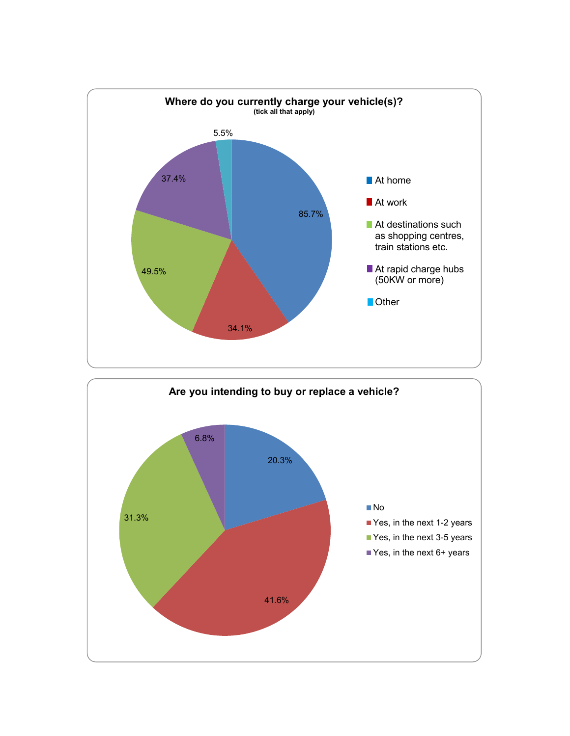

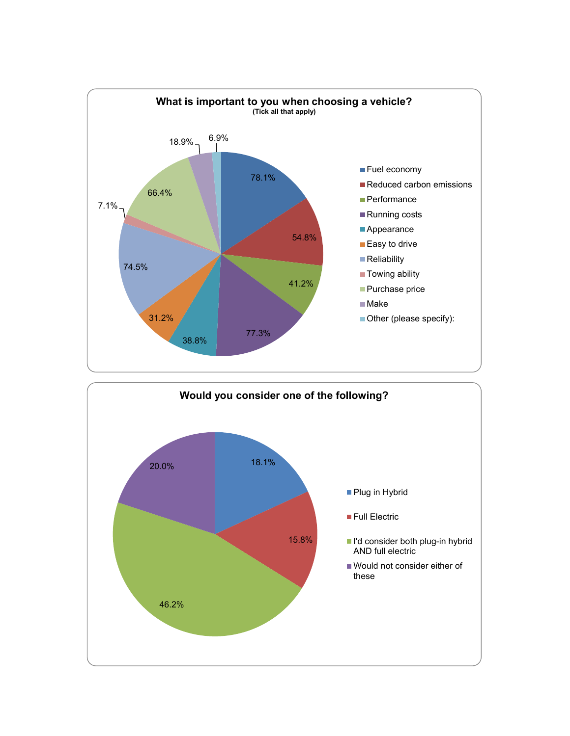

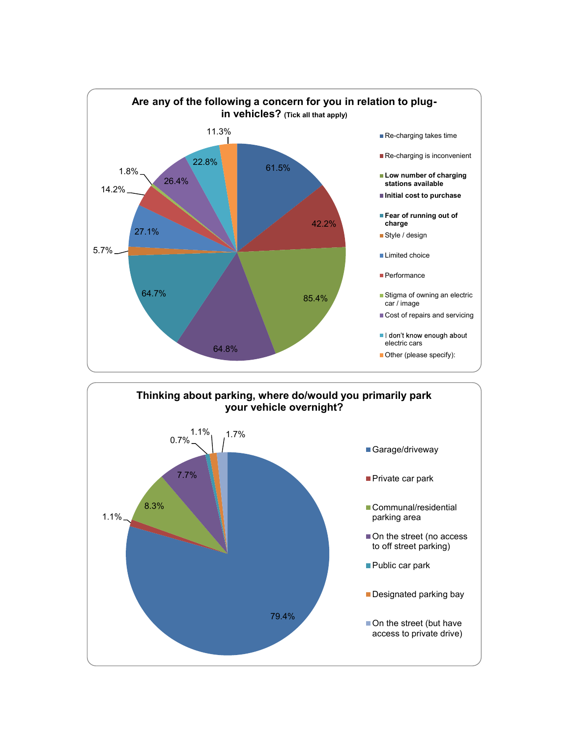

79.4%

Designated parking bay

On the street (but have access to private drive)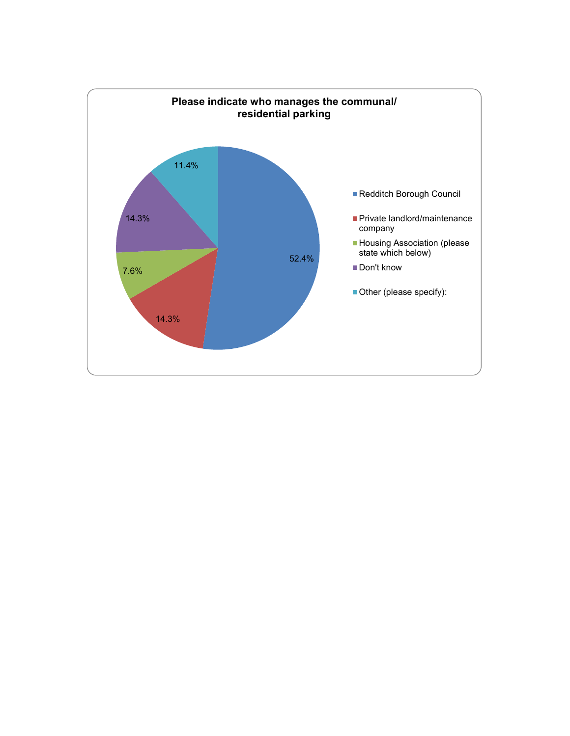